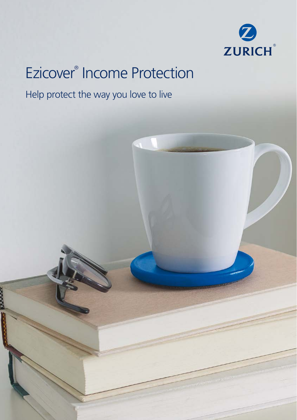

# Ezicover® Income Protection

## Help protect the way you love to live

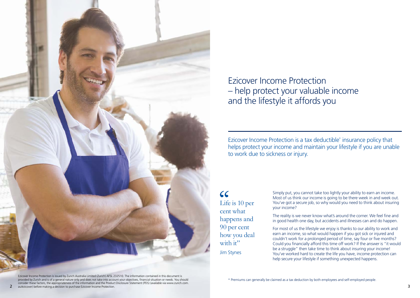

Ezicover Income Protection – help protect your valuable income and the lifestyle it affords you

Ezicover Income Protection is a tax deductible\* insurance policy that helps protect your income and maintain your lifestyle if you are unable to work due to sickness or injury.

 $cc$ Life is 10 per cent what happens and 90 per cent how you deal with it" Jim Stynes

Simply put, you cannot take too lightly your ability to earn an income. Most of us think our income is going to be there week in and week out. You've got a secure job, so why would you need to think about insuring your income?

The reality is we never know what's around the corner. We feel fine and in good health one day, but accidents and illnesses can and do happen.

For most of us the lifestyle we enjoy is thanks to our ability to work and earn an income, so what would happen if you got sick or injured and couldn't work for a prolonged period of time, say four or five months? Could you financially afford this time off work? If the answer is "it would be a struggle" then take time to think about insuring your income! You've worked hard to create the life you have, income protection can help secure your lifestyle if something unexpected happens.

Ezicover Income Protection is issued by Zurich Australia Limited (Zurich) AFSL 232510. The information contained in this document is provided by Zurich and is of a general nature only and does not take into account your objectives, financial situation or needs. You should consider these factors, the appropriateness of the information and the Product Disclosure Statement (PDS) (available via www.zurich.com. 2 au/ezicover) before making a decision to purchase Ezicover Income Protection. 3

\* Premiums can generally be claimed as a tax deduction by both employees and self-employed people.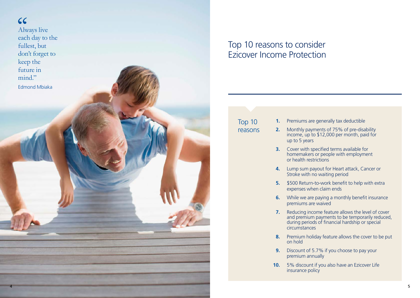

# Top 10 reasons to consider Ezicover Income Protection

Top 10

reasons

- **1.** Premiums are generally tax deductible
- **2.** Monthly payments of 75% of pre-disability income, up to \$12,000 per month, paid for up to 5 years
- **3.** Cover with specified terms available for homemakers or people with employment or health restrictions
- **4.** Lump sum payout for Heart attack, Cancer or Stroke with no waiting period
- **5.** \$500 Return-to-work benefit to help with extra expenses when claim ends
- **6.** While we are paying a monthly benefit insurance premiums are waived
- **7.** Reducing income feature allows the level of cover and premium payments to be temporarily reduced, during periods of financial hardship or special circumstances
- **8.** Premium holiday feature allows the cover to be put on hold
- **9.** Discount of 5.7% if you choose to pay your premium annually
- **10.** 5% discount if you also have an Ezicover Life insurance policy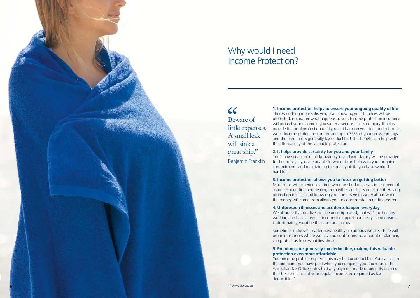

## Why would I need Income Protection?

 $cc$ Beware of little expenses. A small leak will sink a great ship." Benjamin Franklin

**1. Income protection helps to ensure your ongoing quality of life** There's nothing more satisfying than knowing your finances will be protected, no matter what happens to you. Income protection insurance will protect your income if you suffer a serious illness or injury. It helps provide financial protection until you get back on your feet and return to work. Income protection can provide up to 75% of your gross earnings and the premium is generally tax deductible! This benefit can help with the affordability of this valuable protection.

### **2. It helps provide certainty for you and your family**

You'll have peace of mind knowing you and your family will be provided for financially if you are unable to work. It can help with your ongoing commitments and maintaining the quality of life you have worked hard for.

#### **3. Income protection allows you to focus on getting better**

Most of us will experience a time when we find ourselves in real need of some recuperation and healing from either an illness or accident. Having protection in place and knowing you don't have to worry about where the money will come from allows you to concentrate on getting better.

#### **4. Unforeseen illnesses and accidents happen everyday**

We all hope that our lives will be uncomplicated, that we'll be healthy, working and have a regular income to support our lifestyle and dreams. Unfortunately, wont be the case for all of us.

Sometimes it doesn't matter how healthy or cautious we are. There will be circumstances where we have no control and no amount of planning can protect us from what lies ahead.

#### **5. Premiums are generally tax deductible, making this valuable protection even more affordable.**

Your income protection premiums may be tax deductible. You can claim the premiums you have paid when you complete your tax return. The Australian Tax Office states that any payment made or benefits claimed that take the place of your regular income are regarded as tax deductible.\*\*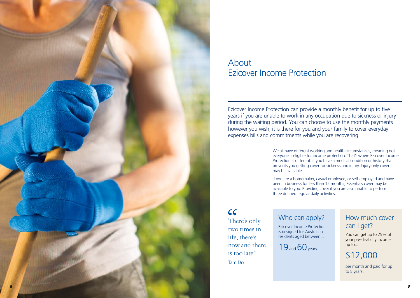

## About Ezicover Income Protection

Ezicover Income Protection can provide a monthly benefit for up to five years if you are unable to work in any occupation due to sickness or injury during the waiting period. You can choose to use the monthly payments however you wish, it is there for you and your family to cover everyday expenses bills and commitments while you are recovering.

> We all have different working and health circumstances, meaning not everyone is eligible for income protection. That's where Ezicover Income Protection is different. If you have a medical condition or history that prevents you getting cover for sickness and injury, Injury only cover may be available.

If you are a homemaker, casual employee, or self-employed and have been in business for less than 12 months, Essentials cover may be available to you. Providing cover if you are also unable to perform three defined regular daily activities.

 $cc$ There's only two times in life, there's now and there is too late" Tam Do

# Who can apply?

Ezicover Income Protection is designed for Australian residents aged between...

 $19$  and  $60$  years.

## How much cover can I get?

You can get up to 75% of your pre-disability income up to...

\$12,000

per month and paid for up to 5 years.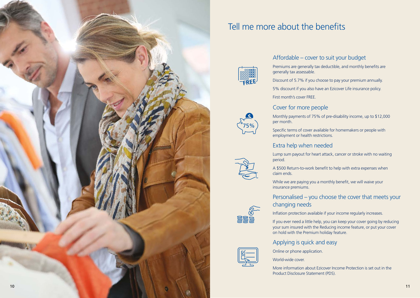

# Tell me more about the benefits



### Affordable – cover to suit your budget

Premiums are generally tax deductible, and monthly benefits are generally tax assessable.

Discount of 5.7% if you choose to pay your premium annually.

5% discount if you also have an Ezicover Life insurance policy. First month's cover FREE.

### Cover for more people



 $\sum_{s\in S}$ 

**CONTROL** 

Monthly payments of 75% of pre-disability income, up to \$12,000 per month.

Specific terms of cover available for homemakers or people with employment or health restrictions.

### Extra help when needed

Lump sum payout for heart attack, cancer or stroke with no waiting period.

A \$500 Return-to-work benefit to help with extra expenses when claim ends.

While we are paying you a monthly benefit, we will waive your insurance premiums.

### Personalised – you choose the cover that meets your changing needs



If you ever need a little help, you can keep your cover going by reducing your sum insured with the Reducing income feature, or put your cover on hold with the Premium holiday feature.

### Applying is quick and easy

Online or phone application.

World-wide cover.

More information about Ezicover Income Protection is set out in the Product Disclosure Statement (PDS).

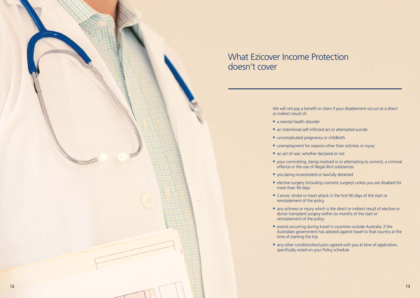

# What Ezicover Income Protection doesn't cover

We will not pay a benefit or claim if your disablement occurs as a direct or indirect result of:

- **•** a mental health disorder
- **•** an intentional self-inflicted act or attempted suicide
- **•** uncomplicated pregnancy or childbirth
- **•** unemployment for reasons other than sickness or injury
- **•** an act of war, whether declared or not
- **•** your committing, being involved in or attempting to commit, a criminal offence or the use of illegal illicit substances
- **•** you being incarcerated or lawfully detained
- **•** elective surgery (including cosmetic surgery) unless you are disabled for more than 90 days
- **•** Cancer, stroke or heart attack in the first 90 days of the start or reinstatement of the policy
- **•** any sickness or injury which is the direct or indirect result of elective or donor transplant surgery within six months of the start or reinstatement of the policy
- **•** events occurring during travel in countries outside Australia, if the Australian government has advised against travel to that country at the time of starting the trip
- **•** any other condition/exclusion agreed with you at time of application, specifically noted on your Policy schedule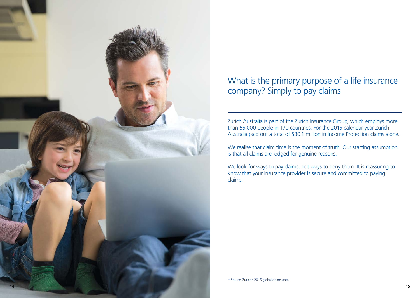

# What is the primary purpose of a life insurance company? Simply to pay claims

Zurich Australia is part of the Zurich Insurance Group, which employs more than 55,000 people in 170 countries. For the 2015 calendar year Zurich Australia paid out a total of \$30.1 million in Income Protection claims alone.

We realise that claim time is the moment of truth. Our starting assumption is that all claims are lodged for genuine reasons.

We look for ways to pay claims, not ways to deny them. It is reassuring to know that your insurance provider is secure and committed to paying claims.